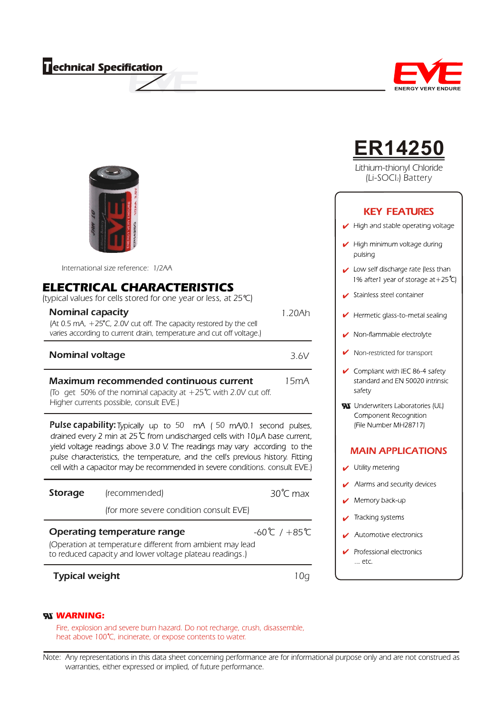## *T echnical Specification*



*International size reference: 1/2AA*

## *ELECTRICAL CHARACTERISTICS*

*(typical values for cells stored for one year or less, at 25 C)*

| <b>Nominal capacity</b>                                                                                                                    | 1.20Ah |
|--------------------------------------------------------------------------------------------------------------------------------------------|--------|
| (At 0.5 mA, +25°C, 2.0V cut off. The capacity restored by the cell<br>varies according to current drain, temperature and cut off voltage.) |        |
| <b>Nominal voltage</b>                                                                                                                     | 3.6V   |

## Maximum recommended continuous current

*15mA*

*(To get 50% of the nominal capacity at +25 C with 2.0V cut off. Higher currents possible, consult EVE.)*

**Pulse capability:** Typically up to 50 mA (50) drained every 2 min at 25 ℃ from undischarged cells with 10µA base current, yield voltage readings above 3.0 V. The readings may vary according to the pulse characteristics, the temperature, and the cell's previous history. Fitting cell with a capacitor may be recommended in severe conditions. consult EVE.)

| <b>Storage</b>                                                                                                        | (recommended)                           | $30^{\circ}$ C max |  |
|-----------------------------------------------------------------------------------------------------------------------|-----------------------------------------|--------------------|--|
|                                                                                                                       | (for more severe condition consult EVE) |                    |  |
| $-60^{\circ}$ / +85 ℃<br>Operating temperature range                                                                  |                                         |                    |  |
| (Operation at temperature different from ambient may lead<br>to reduced capacity and lower voltage plateau readings.) |                                         |                    |  |
|                                                                                                                       |                                         |                    |  |

### Typical weight *10g*

#### *WARNING:*

*Fire, explosion and severe burn hazard. Do not recharge, crush, disassemble, heat above 100 C, incinerate, or expose contents to water.*

*Note: Any representations in this data sheet concerning performance are for informational purpose only and are not construed as warranties, either expressed or implied, of future performance.*



**ER14250**

*Lithium-thionyl Chloride (Li-SOCl2) Battery*

#### **KEY FEATURES**

- $\blacktriangleright$  High and stable operating voltage
- $\blacktriangleright$  High minimum voltage during pulsing
- Low self discharge rate (less than 1% after1 year of storage at +25°C)
- Stainless steel container
- Hermetic glass-to-metal sealing V
- Non-flammable electrolyte
- *Non-restricted for transport*
- $\checkmark$  Compliant with IEC 86-4 safety standard and EN 50020 intrinsic safety
- W Underwriters Laboratories (UL) Component Recognition (File Number MH28717)

#### MAIN APPLICATIONS

- Utility metering
- Alarms and security devices
- Memory back-up
- Tracking systems  $\boldsymbol{\nu}$
- Automotive electronics
- Professional electronics  $\ldots$  etc.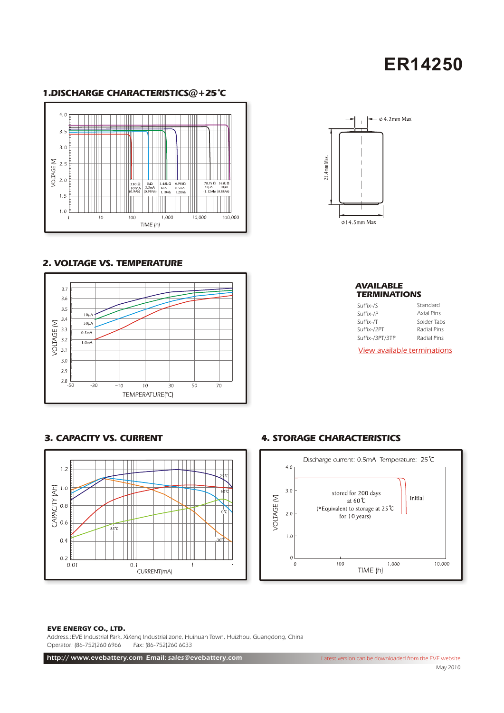# **ER14250**

#### *1.DISCHARGE CHARACTERISTICS@+25 C*



#### *2. VOLTAGE VS. TEMPERATURE*



#### *3. CAPACITY VS. CURRENT*



#### *4. STORAGE CHARACTERISTICS*



#### *EVE ENERGY CO., LTD.*

*Address.:EVE Industrial Park, XiKeng Industrial zone, Huihuan Town, Huizhou, Guangdong, China Operator: (86-752)260 6966 Fax: (86-752)260 6033* 

http:// www.evebattery.com Email: sales@evebattery.com



#### *AVAILABLE TERMINATIONS*

| Suffix-/S       | Standard    |
|-----------------|-------------|
| Suffix-/P       | Axial Pins  |
| Suffix-/T       | Solder Tabs |
| Suffix-/2PT     | Radial Pins |
| Suffix-/3PT/3TP | Radial Pins |

*View available terminations*